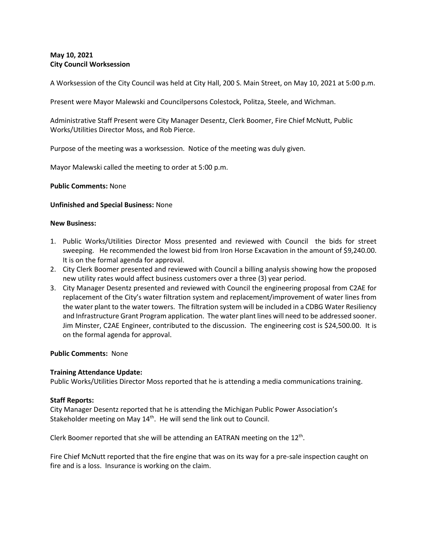# **May 10, 2021 City Council Worksession**

A Worksession of the City Council was held at City Hall, 200 S. Main Street, on May 10, 2021 at 5:00 p.m.

Present were Mayor Malewski and Councilpersons Colestock, Politza, Steele, and Wichman.

Administrative Staff Present were City Manager Desentz, Clerk Boomer, Fire Chief McNutt, Public Works/Utilities Director Moss, and Rob Pierce.

Purpose of the meeting was a worksession. Notice of the meeting was duly given.

Mayor Malewski called the meeting to order at 5:00 p.m.

**Public Comments:** None

## **Unfinished and Special Business:** None

### **New Business:**

- 1. Public Works/Utilities Director Moss presented and reviewed with Council the bids for street sweeping. He recommended the lowest bid from Iron Horse Excavation in the amount of \$9,240.00. It is on the formal agenda for approval.
- 2. City Clerk Boomer presented and reviewed with Council a billing analysis showing how the proposed new utility rates would affect business customers over a three (3) year period.
- 3. City Manager Desentz presented and reviewed with Council the engineering proposal from C2AE for replacement of the City's water filtration system and replacement/improvement of water lines from the water plant to the water towers. The filtration system will be included in a CDBG Water Resiliency and Infrastructure Grant Program application. The water plant lines will need to be addressed sooner. Jim Minster, C2AE Engineer, contributed to the discussion. The engineering cost is \$24,500.00. It is on the formal agenda for approval.

### **Public Comments:** None

### **Training Attendance Update:**

Public Works/Utilities Director Moss reported that he is attending a media communications training.

### **Staff Reports:**

City Manager Desentz reported that he is attending the Michigan Public Power Association's Stakeholder meeting on May 14<sup>th</sup>. He will send the link out to Council.

Clerk Boomer reported that she will be attending an EATRAN meeting on the  $12^{th}$ .

Fire Chief McNutt reported that the fire engine that was on its way for a pre-sale inspection caught on fire and is a loss. Insurance is working on the claim.